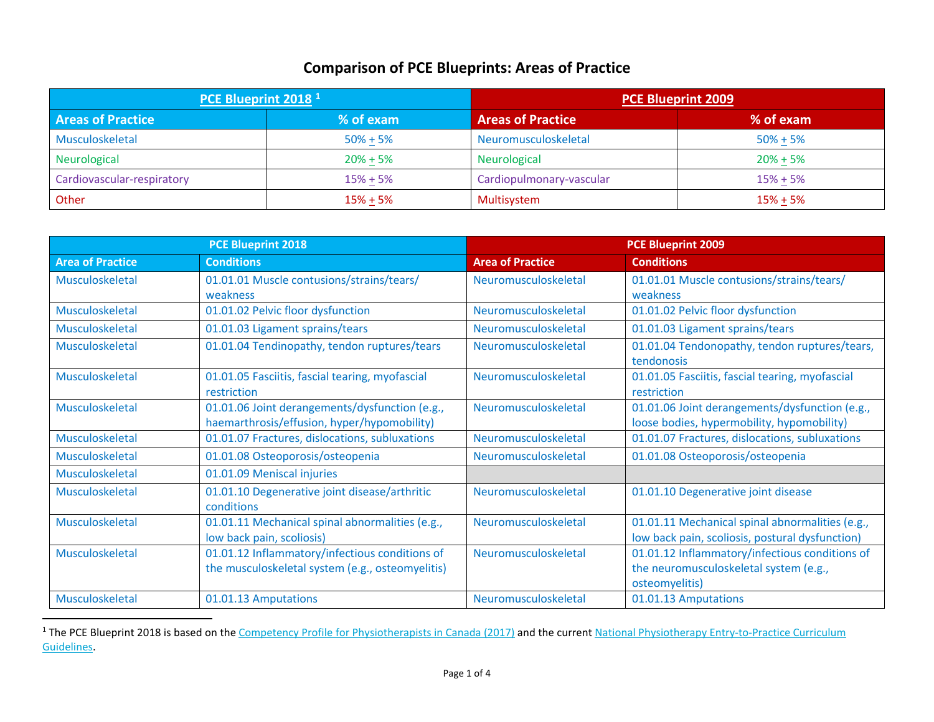## <span id="page-0-0"></span>**Comparison of PCE Blueprints: Areas of Practice**

| PCE Blueprint 2018 <sup>1</sup> |              | <b>PCE Blueprint 2009</b> |              |
|---------------------------------|--------------|---------------------------|--------------|
| <b>Areas of Practice</b>        | % of exam    | <b>Areas of Practice</b>  | % of exam    |
| Musculoskeletal                 | $50\% + 5\%$ | Neuromusculoskeletal      | $50\% + 5\%$ |
| Neurological                    | $20% + 5%$   | Neurological              | $20\% + 5\%$ |
| Cardiovascular-respiratory      | $15% + 5%$   | Cardiopulmonary-vascular  | $15% + 5%$   |
| Other                           | $15% + 5%$   | Multisystem               | $15% + 5%$   |

|                         | <b>PCE Blueprint 2018</b>                                   |                         | <b>PCE Blueprint 2009</b>                       |
|-------------------------|-------------------------------------------------------------|-------------------------|-------------------------------------------------|
| <b>Area of Practice</b> | <b>Conditions</b>                                           | <b>Area of Practice</b> | <b>Conditions</b>                               |
| Musculoskeletal         | 01.01.01 Muscle contusions/strains/tears/                   | Neuromusculoskeletal    | 01.01.01 Muscle contusions/strains/tears/       |
|                         | weakness                                                    |                         | weakness                                        |
| Musculoskeletal         | 01.01.02 Pelvic floor dysfunction                           | Neuromusculoskeletal    | 01.01.02 Pelvic floor dysfunction               |
| <b>Musculoskeletal</b>  | 01.01.03 Ligament sprains/tears                             | Neuromusculoskeletal    | 01.01.03 Ligament sprains/tears                 |
| <b>Musculoskeletal</b>  | 01.01.04 Tendinopathy, tendon ruptures/tears                | Neuromusculoskeletal    | 01.01.04 Tendonopathy, tendon ruptures/tears,   |
|                         |                                                             |                         | tendonosis                                      |
| Musculoskeletal         | 01.01.05 Fasciitis, fascial tearing, myofascial             | Neuromusculoskeletal    | 01.01.05 Fasciitis, fascial tearing, myofascial |
|                         | restriction                                                 |                         | restriction                                     |
| Musculoskeletal         | 01.01.06 Joint derangements/dysfunction (e.g.,              | Neuromusculoskeletal    | 01.01.06 Joint derangements/dysfunction (e.g.,  |
|                         | haemarthrosis/effusion, hyper/hypomobility)                 |                         | loose bodies, hypermobility, hypomobility)      |
| Musculoskeletal         | 01.01.07 Fractures, dislocations, subluxations              | Neuromusculoskeletal    | 01.01.07 Fractures, dislocations, subluxations  |
| <b>Musculoskeletal</b>  | 01.01.08 Osteoporosis/osteopenia                            | Neuromusculoskeletal    | 01.01.08 Osteoporosis/osteopenia                |
| Musculoskeletal         | 01.01.09 Meniscal injuries                                  |                         |                                                 |
| Musculoskeletal         | 01.01.10 Degenerative joint disease/arthritic<br>conditions | Neuromusculoskeletal    | 01.01.10 Degenerative joint disease             |
| Musculoskeletal         | 01.01.11 Mechanical spinal abnormalities (e.g.,             | Neuromusculoskeletal    | 01.01.11 Mechanical spinal abnormalities (e.g., |
|                         | low back pain, scoliosis)                                   |                         | low back pain, scoliosis, postural dysfunction) |
| Musculoskeletal         | 01.01.12 Inflammatory/infectious conditions of              | Neuromusculoskeletal    | 01.01.12 Inflammatory/infectious conditions of  |
|                         | the musculoskeletal system (e.g., osteomyelitis)            |                         | the neuromusculoskeletal system (e.g.,          |
|                         |                                                             |                         | osteomyelitis)                                  |
| Musculoskeletal         | 01.01.13 Amputations                                        | Neuromusculoskeletal    | 01.01.13 Amputations                            |

<sup>&</sup>lt;sup>1</sup> The PCE Blueprint 2018 is based on th[e Competency Profile for Physiotherapists in Canada \(2017\)](http://www.npag.ca/PDFs/Joint%20Initiatives/2017%20Competency%20Profile%20for%20PTs%202017%20EN.pdf) and the current National Physiotherapy Entry-to-Practice Curriculum [Guidelines.](https://www.physiotherapyeducation.ca/resources.php)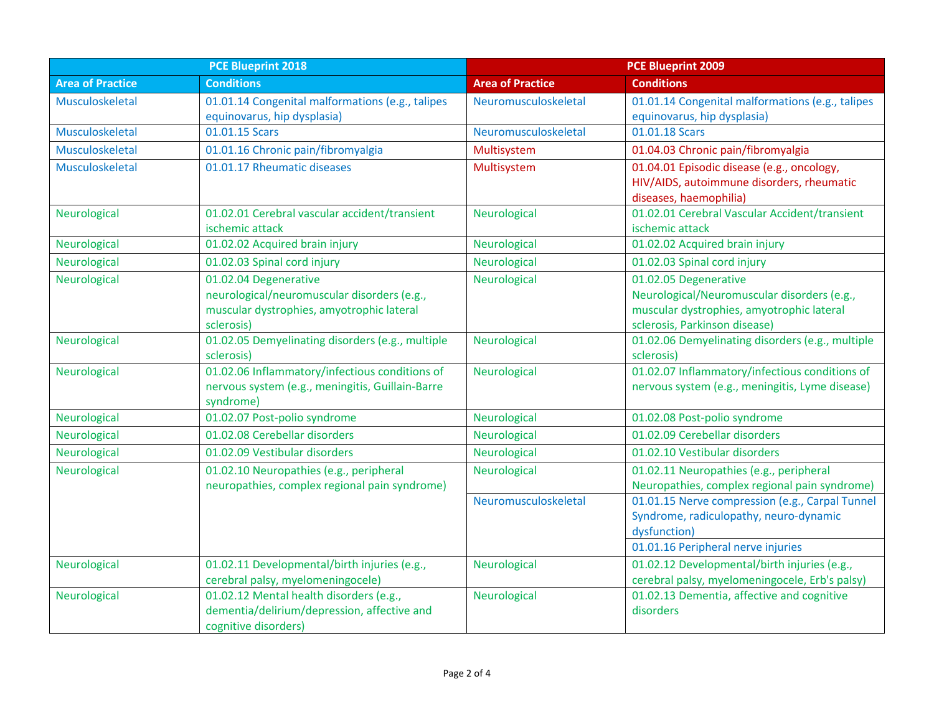|                         | <b>PCE Blueprint 2018</b>                                                                                                       |                         | <b>PCE Blueprint 2009</b>                                                                                                                          |
|-------------------------|---------------------------------------------------------------------------------------------------------------------------------|-------------------------|----------------------------------------------------------------------------------------------------------------------------------------------------|
| <b>Area of Practice</b> | <b>Conditions</b>                                                                                                               | <b>Area of Practice</b> | <b>Conditions</b>                                                                                                                                  |
| Musculoskeletal         | 01.01.14 Congenital malformations (e.g., talipes                                                                                | Neuromusculoskeletal    | 01.01.14 Congenital malformations (e.g., talipes                                                                                                   |
|                         | equinovarus, hip dysplasia)                                                                                                     |                         | equinovarus, hip dysplasia)                                                                                                                        |
| Musculoskeletal         | 01.01.15 Scars                                                                                                                  | Neuromusculoskeletal    | 01.01.18 Scars                                                                                                                                     |
| Musculoskeletal         | 01.01.16 Chronic pain/fibromyalgia                                                                                              | Multisystem             | 01.04.03 Chronic pain/fibromyalgia                                                                                                                 |
| Musculoskeletal         | 01.01.17 Rheumatic diseases                                                                                                     | Multisystem             | 01.04.01 Episodic disease (e.g., oncology,<br>HIV/AIDS, autoimmune disorders, rheumatic<br>diseases, haemophilia)                                  |
| Neurological            | 01.02.01 Cerebral vascular accident/transient<br>ischemic attack                                                                | Neurological            | 01.02.01 Cerebral Vascular Accident/transient<br>ischemic attack                                                                                   |
| Neurological            | 01.02.02 Acquired brain injury                                                                                                  | Neurological            | 01.02.02 Acquired brain injury                                                                                                                     |
| Neurological            | 01.02.03 Spinal cord injury                                                                                                     | Neurological            | 01.02.03 Spinal cord injury                                                                                                                        |
| Neurological            | 01.02.04 Degenerative<br>neurological/neuromuscular disorders (e.g.,<br>muscular dystrophies, amyotrophic lateral<br>sclerosis) | Neurological            | 01.02.05 Degenerative<br>Neurological/Neuromuscular disorders (e.g.,<br>muscular dystrophies, amyotrophic lateral<br>sclerosis, Parkinson disease) |
| Neurological            | 01.02.05 Demyelinating disorders (e.g., multiple<br>sclerosis)                                                                  | Neurological            | 01.02.06 Demyelinating disorders (e.g., multiple<br>sclerosis)                                                                                     |
| Neurological            | 01.02.06 Inflammatory/infectious conditions of<br>nervous system (e.g., meningitis, Guillain-Barre<br>syndrome)                 | Neurological            | 01.02.07 Inflammatory/infectious conditions of<br>nervous system (e.g., meningitis, Lyme disease)                                                  |
| Neurological            | 01.02.07 Post-polio syndrome                                                                                                    | Neurological            | 01.02.08 Post-polio syndrome                                                                                                                       |
| Neurological            | 01.02.08 Cerebellar disorders                                                                                                   | Neurological            | 01.02.09 Cerebellar disorders                                                                                                                      |
| Neurological            | 01.02.09 Vestibular disorders                                                                                                   | Neurological            | 01.02.10 Vestibular disorders                                                                                                                      |
| Neurological            | 01.02.10 Neuropathies (e.g., peripheral<br>neuropathies, complex regional pain syndrome)                                        | Neurological            | 01.02.11 Neuropathies (e.g., peripheral<br>Neuropathies, complex regional pain syndrome)                                                           |
|                         |                                                                                                                                 | Neuromusculoskeletal    | 01.01.15 Nerve compression (e.g., Carpal Tunnel<br>Syndrome, radiculopathy, neuro-dynamic<br>dysfunction)<br>01.01.16 Peripheral nerve injuries    |
| Neurological            | 01.02.11 Developmental/birth injuries (e.g.,<br>cerebral palsy, myelomeningocele)                                               | Neurological            | 01.02.12 Developmental/birth injuries (e.g.,<br>cerebral palsy, myelomeningocele, Erb's palsy)                                                     |
| Neurological            | 01.02.12 Mental health disorders (e.g.,<br>dementia/delirium/depression, affective and<br>cognitive disorders)                  | Neurological            | 01.02.13 Dementia, affective and cognitive<br>disorders                                                                                            |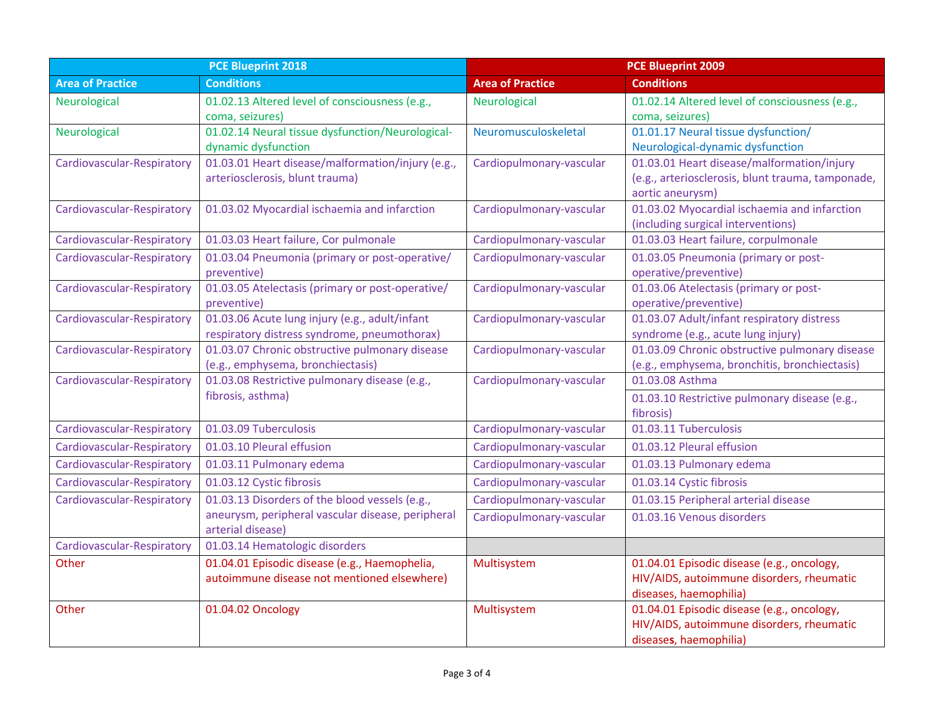| <b>Conditions</b><br><b>Conditions</b><br><b>Area of Practice</b><br><b>Area of Practice</b><br>01.02.13 Altered level of consciousness (e.g.,<br>01.02.14 Altered level of consciousness (e.g.,<br>Neurological<br>Neurological<br>coma, seizures)<br>coma, seizures)<br>01.02.14 Neural tissue dysfunction/Neurological-<br>01.01.17 Neural tissue dysfunction/<br>Neurological<br>Neuromusculoskeletal<br>dynamic dysfunction<br>Neurological-dynamic dysfunction<br>01.03.01 Heart disease/malformation/injury (e.g.,<br>01.03.01 Heart disease/malformation/injury<br>Cardiopulmonary-vascular<br>Cardiovascular-Respiratory<br>arteriosclerosis, blunt trauma)<br>(e.g., arteriosclerosis, blunt trauma, tamponade,<br>aortic aneurysm)<br>01.03.02 Myocardial ischaemia and infarction<br>Cardiopulmonary-vascular<br>Cardiovascular-Respiratory<br>01.03.02 Myocardial ischaemia and infarction<br>(including surgical interventions)<br>01.03.03 Heart failure, corpulmonale<br>01.03.03 Heart failure, Cor pulmonale<br>Cardiopulmonary-vascular<br>Cardiovascular-Respiratory<br>01.03.04 Pneumonia (primary or post-operative/<br>Cardiopulmonary-vascular<br>01.03.05 Pneumonia (primary or post-<br>Cardiovascular-Respiratory<br>preventive)<br>operative/preventive)<br>Cardiovascular-Respiratory<br>01.03.05 Atelectasis (primary or post-operative/<br>01.03.06 Atelectasis (primary or post-<br>Cardiopulmonary-vascular<br>operative/preventive)<br>preventive)<br>Cardiovascular-Respiratory<br>01.03.06 Acute lung injury (e.g., adult/infant<br>Cardiopulmonary-vascular<br>01.03.07 Adult/infant respiratory distress<br>respiratory distress syndrome, pneumothorax)<br>syndrome (e.g., acute lung injury)<br>01.03.09 Chronic obstructive pulmonary disease<br>Cardiovascular-Respiratory<br>01.03.07 Chronic obstructive pulmonary disease<br>Cardiopulmonary-vascular<br>(e.g., emphysema, bronchiectasis)<br>(e.g., emphysema, bronchitis, bronchiectasis)<br>Cardiovascular-Respiratory<br>01.03.08 Restrictive pulmonary disease (e.g.,<br>Cardiopulmonary-vascular<br>01.03.08 Asthma<br>fibrosis, asthma)<br>01.03.10 Restrictive pulmonary disease (e.g.,<br>fibrosis)<br>01.03.11 Tuberculosis<br>01.03.09 Tuberculosis<br>Cardiopulmonary-vascular<br>Cardiovascular-Respiratory<br>Cardiovascular-Respiratory<br>01.03.10 Pleural effusion<br>Cardiopulmonary-vascular<br>01.03.12 Pleural effusion<br>Cardiovascular-Respiratory<br>01.03.11 Pulmonary edema<br>Cardiopulmonary-vascular<br>01.03.13 Pulmonary edema<br>01.03.12 Cystic fibrosis<br>01.03.14 Cystic fibrosis<br>Cardiovascular-Respiratory<br>Cardiopulmonary-vascular<br>01.03.13 Disorders of the blood vessels (e.g.,<br>Cardiovascular-Respiratory<br>Cardiopulmonary-vascular<br>01.03.15 Peripheral arterial disease<br>aneurysm, peripheral vascular disease, peripheral<br>Cardiopulmonary-vascular<br>01.03.16 Venous disorders<br>arterial disease)<br>01.03.14 Hematologic disorders<br>Cardiovascular-Respiratory<br>01.04.01 Episodic disease (e.g., Haemophelia,<br>01.04.01 Episodic disease (e.g., oncology,<br>Multisystem<br>Other<br>autoimmune disease not mentioned elsewhere)<br>HIV/AIDS, autoimmune disorders, rheumatic<br>diseases, haemophilia)<br>01.04.01 Episodic disease (e.g., oncology,<br>01.04.02 Oncology<br>Multisystem<br>Other<br>HIV/AIDS, autoimmune disorders, rheumatic | PCE Blueprint 2018 |  | <b>PCE Blueprint 2009</b> |                        |
|---------------------------------------------------------------------------------------------------------------------------------------------------------------------------------------------------------------------------------------------------------------------------------------------------------------------------------------------------------------------------------------------------------------------------------------------------------------------------------------------------------------------------------------------------------------------------------------------------------------------------------------------------------------------------------------------------------------------------------------------------------------------------------------------------------------------------------------------------------------------------------------------------------------------------------------------------------------------------------------------------------------------------------------------------------------------------------------------------------------------------------------------------------------------------------------------------------------------------------------------------------------------------------------------------------------------------------------------------------------------------------------------------------------------------------------------------------------------------------------------------------------------------------------------------------------------------------------------------------------------------------------------------------------------------------------------------------------------------------------------------------------------------------------------------------------------------------------------------------------------------------------------------------------------------------------------------------------------------------------------------------------------------------------------------------------------------------------------------------------------------------------------------------------------------------------------------------------------------------------------------------------------------------------------------------------------------------------------------------------------------------------------------------------------------------------------------------------------------------------------------------------------------------------------------------------------------------------------------------------------------------------------------------------------------------------------------------------------------------------------------------------------------------------------------------------------------------------------------------------------------------------------------------------------------------------------------------------------------------------------------------------------------------------------------------------------------------------------------------------------------------------------------------------------------------------------------------------------------------------------------------------------------------------------------------------------------------------------------------------------------------------------------------------------------|--------------------|--|---------------------------|------------------------|
|                                                                                                                                                                                                                                                                                                                                                                                                                                                                                                                                                                                                                                                                                                                                                                                                                                                                                                                                                                                                                                                                                                                                                                                                                                                                                                                                                                                                                                                                                                                                                                                                                                                                                                                                                                                                                                                                                                                                                                                                                                                                                                                                                                                                                                                                                                                                                                                                                                                                                                                                                                                                                                                                                                                                                                                                                                                                                                                                                                                                                                                                                                                                                                                                                                                                                                                                                                                                                           |                    |  |                           |                        |
|                                                                                                                                                                                                                                                                                                                                                                                                                                                                                                                                                                                                                                                                                                                                                                                                                                                                                                                                                                                                                                                                                                                                                                                                                                                                                                                                                                                                                                                                                                                                                                                                                                                                                                                                                                                                                                                                                                                                                                                                                                                                                                                                                                                                                                                                                                                                                                                                                                                                                                                                                                                                                                                                                                                                                                                                                                                                                                                                                                                                                                                                                                                                                                                                                                                                                                                                                                                                                           |                    |  |                           |                        |
|                                                                                                                                                                                                                                                                                                                                                                                                                                                                                                                                                                                                                                                                                                                                                                                                                                                                                                                                                                                                                                                                                                                                                                                                                                                                                                                                                                                                                                                                                                                                                                                                                                                                                                                                                                                                                                                                                                                                                                                                                                                                                                                                                                                                                                                                                                                                                                                                                                                                                                                                                                                                                                                                                                                                                                                                                                                                                                                                                                                                                                                                                                                                                                                                                                                                                                                                                                                                                           |                    |  |                           |                        |
|                                                                                                                                                                                                                                                                                                                                                                                                                                                                                                                                                                                                                                                                                                                                                                                                                                                                                                                                                                                                                                                                                                                                                                                                                                                                                                                                                                                                                                                                                                                                                                                                                                                                                                                                                                                                                                                                                                                                                                                                                                                                                                                                                                                                                                                                                                                                                                                                                                                                                                                                                                                                                                                                                                                                                                                                                                                                                                                                                                                                                                                                                                                                                                                                                                                                                                                                                                                                                           |                    |  |                           |                        |
|                                                                                                                                                                                                                                                                                                                                                                                                                                                                                                                                                                                                                                                                                                                                                                                                                                                                                                                                                                                                                                                                                                                                                                                                                                                                                                                                                                                                                                                                                                                                                                                                                                                                                                                                                                                                                                                                                                                                                                                                                                                                                                                                                                                                                                                                                                                                                                                                                                                                                                                                                                                                                                                                                                                                                                                                                                                                                                                                                                                                                                                                                                                                                                                                                                                                                                                                                                                                                           |                    |  |                           |                        |
|                                                                                                                                                                                                                                                                                                                                                                                                                                                                                                                                                                                                                                                                                                                                                                                                                                                                                                                                                                                                                                                                                                                                                                                                                                                                                                                                                                                                                                                                                                                                                                                                                                                                                                                                                                                                                                                                                                                                                                                                                                                                                                                                                                                                                                                                                                                                                                                                                                                                                                                                                                                                                                                                                                                                                                                                                                                                                                                                                                                                                                                                                                                                                                                                                                                                                                                                                                                                                           |                    |  |                           |                        |
|                                                                                                                                                                                                                                                                                                                                                                                                                                                                                                                                                                                                                                                                                                                                                                                                                                                                                                                                                                                                                                                                                                                                                                                                                                                                                                                                                                                                                                                                                                                                                                                                                                                                                                                                                                                                                                                                                                                                                                                                                                                                                                                                                                                                                                                                                                                                                                                                                                                                                                                                                                                                                                                                                                                                                                                                                                                                                                                                                                                                                                                                                                                                                                                                                                                                                                                                                                                                                           |                    |  |                           |                        |
|                                                                                                                                                                                                                                                                                                                                                                                                                                                                                                                                                                                                                                                                                                                                                                                                                                                                                                                                                                                                                                                                                                                                                                                                                                                                                                                                                                                                                                                                                                                                                                                                                                                                                                                                                                                                                                                                                                                                                                                                                                                                                                                                                                                                                                                                                                                                                                                                                                                                                                                                                                                                                                                                                                                                                                                                                                                                                                                                                                                                                                                                                                                                                                                                                                                                                                                                                                                                                           |                    |  |                           |                        |
|                                                                                                                                                                                                                                                                                                                                                                                                                                                                                                                                                                                                                                                                                                                                                                                                                                                                                                                                                                                                                                                                                                                                                                                                                                                                                                                                                                                                                                                                                                                                                                                                                                                                                                                                                                                                                                                                                                                                                                                                                                                                                                                                                                                                                                                                                                                                                                                                                                                                                                                                                                                                                                                                                                                                                                                                                                                                                                                                                                                                                                                                                                                                                                                                                                                                                                                                                                                                                           |                    |  |                           |                        |
|                                                                                                                                                                                                                                                                                                                                                                                                                                                                                                                                                                                                                                                                                                                                                                                                                                                                                                                                                                                                                                                                                                                                                                                                                                                                                                                                                                                                                                                                                                                                                                                                                                                                                                                                                                                                                                                                                                                                                                                                                                                                                                                                                                                                                                                                                                                                                                                                                                                                                                                                                                                                                                                                                                                                                                                                                                                                                                                                                                                                                                                                                                                                                                                                                                                                                                                                                                                                                           |                    |  |                           |                        |
|                                                                                                                                                                                                                                                                                                                                                                                                                                                                                                                                                                                                                                                                                                                                                                                                                                                                                                                                                                                                                                                                                                                                                                                                                                                                                                                                                                                                                                                                                                                                                                                                                                                                                                                                                                                                                                                                                                                                                                                                                                                                                                                                                                                                                                                                                                                                                                                                                                                                                                                                                                                                                                                                                                                                                                                                                                                                                                                                                                                                                                                                                                                                                                                                                                                                                                                                                                                                                           |                    |  |                           |                        |
|                                                                                                                                                                                                                                                                                                                                                                                                                                                                                                                                                                                                                                                                                                                                                                                                                                                                                                                                                                                                                                                                                                                                                                                                                                                                                                                                                                                                                                                                                                                                                                                                                                                                                                                                                                                                                                                                                                                                                                                                                                                                                                                                                                                                                                                                                                                                                                                                                                                                                                                                                                                                                                                                                                                                                                                                                                                                                                                                                                                                                                                                                                                                                                                                                                                                                                                                                                                                                           |                    |  |                           |                        |
|                                                                                                                                                                                                                                                                                                                                                                                                                                                                                                                                                                                                                                                                                                                                                                                                                                                                                                                                                                                                                                                                                                                                                                                                                                                                                                                                                                                                                                                                                                                                                                                                                                                                                                                                                                                                                                                                                                                                                                                                                                                                                                                                                                                                                                                                                                                                                                                                                                                                                                                                                                                                                                                                                                                                                                                                                                                                                                                                                                                                                                                                                                                                                                                                                                                                                                                                                                                                                           |                    |  |                           |                        |
|                                                                                                                                                                                                                                                                                                                                                                                                                                                                                                                                                                                                                                                                                                                                                                                                                                                                                                                                                                                                                                                                                                                                                                                                                                                                                                                                                                                                                                                                                                                                                                                                                                                                                                                                                                                                                                                                                                                                                                                                                                                                                                                                                                                                                                                                                                                                                                                                                                                                                                                                                                                                                                                                                                                                                                                                                                                                                                                                                                                                                                                                                                                                                                                                                                                                                                                                                                                                                           |                    |  |                           |                        |
|                                                                                                                                                                                                                                                                                                                                                                                                                                                                                                                                                                                                                                                                                                                                                                                                                                                                                                                                                                                                                                                                                                                                                                                                                                                                                                                                                                                                                                                                                                                                                                                                                                                                                                                                                                                                                                                                                                                                                                                                                                                                                                                                                                                                                                                                                                                                                                                                                                                                                                                                                                                                                                                                                                                                                                                                                                                                                                                                                                                                                                                                                                                                                                                                                                                                                                                                                                                                                           |                    |  |                           |                        |
|                                                                                                                                                                                                                                                                                                                                                                                                                                                                                                                                                                                                                                                                                                                                                                                                                                                                                                                                                                                                                                                                                                                                                                                                                                                                                                                                                                                                                                                                                                                                                                                                                                                                                                                                                                                                                                                                                                                                                                                                                                                                                                                                                                                                                                                                                                                                                                                                                                                                                                                                                                                                                                                                                                                                                                                                                                                                                                                                                                                                                                                                                                                                                                                                                                                                                                                                                                                                                           |                    |  |                           |                        |
|                                                                                                                                                                                                                                                                                                                                                                                                                                                                                                                                                                                                                                                                                                                                                                                                                                                                                                                                                                                                                                                                                                                                                                                                                                                                                                                                                                                                                                                                                                                                                                                                                                                                                                                                                                                                                                                                                                                                                                                                                                                                                                                                                                                                                                                                                                                                                                                                                                                                                                                                                                                                                                                                                                                                                                                                                                                                                                                                                                                                                                                                                                                                                                                                                                                                                                                                                                                                                           |                    |  |                           |                        |
|                                                                                                                                                                                                                                                                                                                                                                                                                                                                                                                                                                                                                                                                                                                                                                                                                                                                                                                                                                                                                                                                                                                                                                                                                                                                                                                                                                                                                                                                                                                                                                                                                                                                                                                                                                                                                                                                                                                                                                                                                                                                                                                                                                                                                                                                                                                                                                                                                                                                                                                                                                                                                                                                                                                                                                                                                                                                                                                                                                                                                                                                                                                                                                                                                                                                                                                                                                                                                           |                    |  |                           |                        |
|                                                                                                                                                                                                                                                                                                                                                                                                                                                                                                                                                                                                                                                                                                                                                                                                                                                                                                                                                                                                                                                                                                                                                                                                                                                                                                                                                                                                                                                                                                                                                                                                                                                                                                                                                                                                                                                                                                                                                                                                                                                                                                                                                                                                                                                                                                                                                                                                                                                                                                                                                                                                                                                                                                                                                                                                                                                                                                                                                                                                                                                                                                                                                                                                                                                                                                                                                                                                                           |                    |  |                           |                        |
|                                                                                                                                                                                                                                                                                                                                                                                                                                                                                                                                                                                                                                                                                                                                                                                                                                                                                                                                                                                                                                                                                                                                                                                                                                                                                                                                                                                                                                                                                                                                                                                                                                                                                                                                                                                                                                                                                                                                                                                                                                                                                                                                                                                                                                                                                                                                                                                                                                                                                                                                                                                                                                                                                                                                                                                                                                                                                                                                                                                                                                                                                                                                                                                                                                                                                                                                                                                                                           |                    |  |                           |                        |
|                                                                                                                                                                                                                                                                                                                                                                                                                                                                                                                                                                                                                                                                                                                                                                                                                                                                                                                                                                                                                                                                                                                                                                                                                                                                                                                                                                                                                                                                                                                                                                                                                                                                                                                                                                                                                                                                                                                                                                                                                                                                                                                                                                                                                                                                                                                                                                                                                                                                                                                                                                                                                                                                                                                                                                                                                                                                                                                                                                                                                                                                                                                                                                                                                                                                                                                                                                                                                           |                    |  |                           |                        |
|                                                                                                                                                                                                                                                                                                                                                                                                                                                                                                                                                                                                                                                                                                                                                                                                                                                                                                                                                                                                                                                                                                                                                                                                                                                                                                                                                                                                                                                                                                                                                                                                                                                                                                                                                                                                                                                                                                                                                                                                                                                                                                                                                                                                                                                                                                                                                                                                                                                                                                                                                                                                                                                                                                                                                                                                                                                                                                                                                                                                                                                                                                                                                                                                                                                                                                                                                                                                                           |                    |  |                           |                        |
|                                                                                                                                                                                                                                                                                                                                                                                                                                                                                                                                                                                                                                                                                                                                                                                                                                                                                                                                                                                                                                                                                                                                                                                                                                                                                                                                                                                                                                                                                                                                                                                                                                                                                                                                                                                                                                                                                                                                                                                                                                                                                                                                                                                                                                                                                                                                                                                                                                                                                                                                                                                                                                                                                                                                                                                                                                                                                                                                                                                                                                                                                                                                                                                                                                                                                                                                                                                                                           |                    |  |                           |                        |
|                                                                                                                                                                                                                                                                                                                                                                                                                                                                                                                                                                                                                                                                                                                                                                                                                                                                                                                                                                                                                                                                                                                                                                                                                                                                                                                                                                                                                                                                                                                                                                                                                                                                                                                                                                                                                                                                                                                                                                                                                                                                                                                                                                                                                                                                                                                                                                                                                                                                                                                                                                                                                                                                                                                                                                                                                                                                                                                                                                                                                                                                                                                                                                                                                                                                                                                                                                                                                           |                    |  |                           |                        |
|                                                                                                                                                                                                                                                                                                                                                                                                                                                                                                                                                                                                                                                                                                                                                                                                                                                                                                                                                                                                                                                                                                                                                                                                                                                                                                                                                                                                                                                                                                                                                                                                                                                                                                                                                                                                                                                                                                                                                                                                                                                                                                                                                                                                                                                                                                                                                                                                                                                                                                                                                                                                                                                                                                                                                                                                                                                                                                                                                                                                                                                                                                                                                                                                                                                                                                                                                                                                                           |                    |  |                           |                        |
|                                                                                                                                                                                                                                                                                                                                                                                                                                                                                                                                                                                                                                                                                                                                                                                                                                                                                                                                                                                                                                                                                                                                                                                                                                                                                                                                                                                                                                                                                                                                                                                                                                                                                                                                                                                                                                                                                                                                                                                                                                                                                                                                                                                                                                                                                                                                                                                                                                                                                                                                                                                                                                                                                                                                                                                                                                                                                                                                                                                                                                                                                                                                                                                                                                                                                                                                                                                                                           |                    |  |                           |                        |
|                                                                                                                                                                                                                                                                                                                                                                                                                                                                                                                                                                                                                                                                                                                                                                                                                                                                                                                                                                                                                                                                                                                                                                                                                                                                                                                                                                                                                                                                                                                                                                                                                                                                                                                                                                                                                                                                                                                                                                                                                                                                                                                                                                                                                                                                                                                                                                                                                                                                                                                                                                                                                                                                                                                                                                                                                                                                                                                                                                                                                                                                                                                                                                                                                                                                                                                                                                                                                           |                    |  |                           |                        |
|                                                                                                                                                                                                                                                                                                                                                                                                                                                                                                                                                                                                                                                                                                                                                                                                                                                                                                                                                                                                                                                                                                                                                                                                                                                                                                                                                                                                                                                                                                                                                                                                                                                                                                                                                                                                                                                                                                                                                                                                                                                                                                                                                                                                                                                                                                                                                                                                                                                                                                                                                                                                                                                                                                                                                                                                                                                                                                                                                                                                                                                                                                                                                                                                                                                                                                                                                                                                                           |                    |  |                           |                        |
|                                                                                                                                                                                                                                                                                                                                                                                                                                                                                                                                                                                                                                                                                                                                                                                                                                                                                                                                                                                                                                                                                                                                                                                                                                                                                                                                                                                                                                                                                                                                                                                                                                                                                                                                                                                                                                                                                                                                                                                                                                                                                                                                                                                                                                                                                                                                                                                                                                                                                                                                                                                                                                                                                                                                                                                                                                                                                                                                                                                                                                                                                                                                                                                                                                                                                                                                                                                                                           |                    |  |                           |                        |
|                                                                                                                                                                                                                                                                                                                                                                                                                                                                                                                                                                                                                                                                                                                                                                                                                                                                                                                                                                                                                                                                                                                                                                                                                                                                                                                                                                                                                                                                                                                                                                                                                                                                                                                                                                                                                                                                                                                                                                                                                                                                                                                                                                                                                                                                                                                                                                                                                                                                                                                                                                                                                                                                                                                                                                                                                                                                                                                                                                                                                                                                                                                                                                                                                                                                                                                                                                                                                           |                    |  |                           |                        |
|                                                                                                                                                                                                                                                                                                                                                                                                                                                                                                                                                                                                                                                                                                                                                                                                                                                                                                                                                                                                                                                                                                                                                                                                                                                                                                                                                                                                                                                                                                                                                                                                                                                                                                                                                                                                                                                                                                                                                                                                                                                                                                                                                                                                                                                                                                                                                                                                                                                                                                                                                                                                                                                                                                                                                                                                                                                                                                                                                                                                                                                                                                                                                                                                                                                                                                                                                                                                                           |                    |  |                           |                        |
|                                                                                                                                                                                                                                                                                                                                                                                                                                                                                                                                                                                                                                                                                                                                                                                                                                                                                                                                                                                                                                                                                                                                                                                                                                                                                                                                                                                                                                                                                                                                                                                                                                                                                                                                                                                                                                                                                                                                                                                                                                                                                                                                                                                                                                                                                                                                                                                                                                                                                                                                                                                                                                                                                                                                                                                                                                                                                                                                                                                                                                                                                                                                                                                                                                                                                                                                                                                                                           |                    |  |                           |                        |
|                                                                                                                                                                                                                                                                                                                                                                                                                                                                                                                                                                                                                                                                                                                                                                                                                                                                                                                                                                                                                                                                                                                                                                                                                                                                                                                                                                                                                                                                                                                                                                                                                                                                                                                                                                                                                                                                                                                                                                                                                                                                                                                                                                                                                                                                                                                                                                                                                                                                                                                                                                                                                                                                                                                                                                                                                                                                                                                                                                                                                                                                                                                                                                                                                                                                                                                                                                                                                           |                    |  |                           |                        |
|                                                                                                                                                                                                                                                                                                                                                                                                                                                                                                                                                                                                                                                                                                                                                                                                                                                                                                                                                                                                                                                                                                                                                                                                                                                                                                                                                                                                                                                                                                                                                                                                                                                                                                                                                                                                                                                                                                                                                                                                                                                                                                                                                                                                                                                                                                                                                                                                                                                                                                                                                                                                                                                                                                                                                                                                                                                                                                                                                                                                                                                                                                                                                                                                                                                                                                                                                                                                                           |                    |  |                           | diseases, haemophilia) |